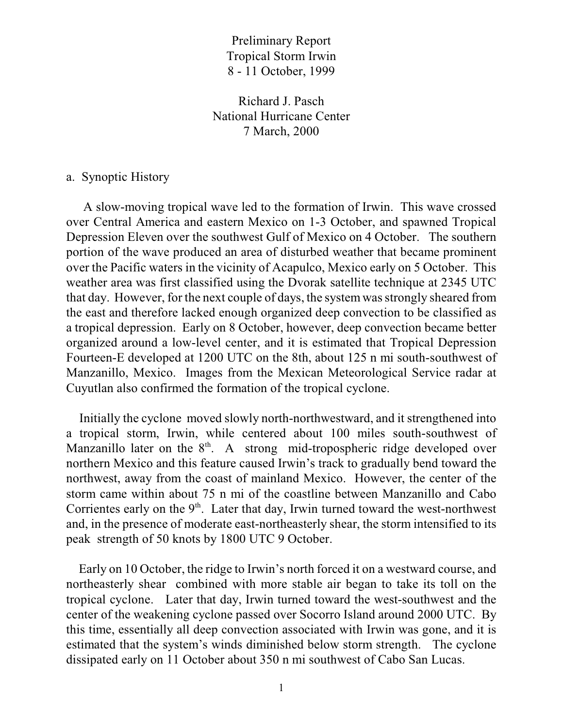Preliminary Report Tropical Storm Irwin 8 - 11 October, 1999

Richard J. Pasch National Hurricane Center 7 March, 2000

## a. Synoptic History

 A slow-moving tropical wave led to the formation of Irwin. This wave crossed over Central America and eastern Mexico on 1-3 October, and spawned Tropical Depression Eleven over the southwest Gulf of Mexico on 4 October. The southern portion of the wave produced an area of disturbed weather that became prominent over the Pacific waters in the vicinity of Acapulco, Mexico early on 5 October. This weather area was first classified using the Dvorak satellite technique at 2345 UTC that day. However, for the next couple of days, the system wasstrongly sheared from the east and therefore lacked enough organized deep convection to be classified as a tropical depression. Early on 8 October, however, deep convection became better organized around a low-level center, and it is estimated that Tropical Depression Fourteen-E developed at 1200 UTC on the 8th, about 125 n mi south-southwest of Manzanillo, Mexico. Images from the Mexican Meteorological Service radar at Cuyutlan also confirmed the formation of the tropical cyclone.

 Initially the cyclone moved slowly north-northwestward, and it strengthened into a tropical storm, Irwin, while centered about 100 miles south-southwest of Manzanillo later on the  $8<sup>th</sup>$ . A strong mid-tropospheric ridge developed over northern Mexico and this feature caused Irwin's track to gradually bend toward the northwest, away from the coast of mainland Mexico. However, the center of the storm came within about 75 n mi of the coastline between Manzanillo and Cabo Corrientes early on the  $9<sup>th</sup>$ . Later that day, Irwin turned toward the west-northwest and, in the presence of moderate east-northeasterly shear, the storm intensified to its peak strength of 50 knots by 1800 UTC 9 October.

 Early on 10 October, the ridge to Irwin's north forced it on a westward course, and northeasterly shear combined with more stable air began to take its toll on the tropical cyclone. Later that day, Irwin turned toward the west-southwest and the center of the weakening cyclone passed over Socorro Island around 2000 UTC. By this time, essentially all deep convection associated with Irwin was gone, and it is estimated that the system's winds diminished below storm strength. The cyclone dissipated early on 11 October about 350 n mi southwest of Cabo San Lucas.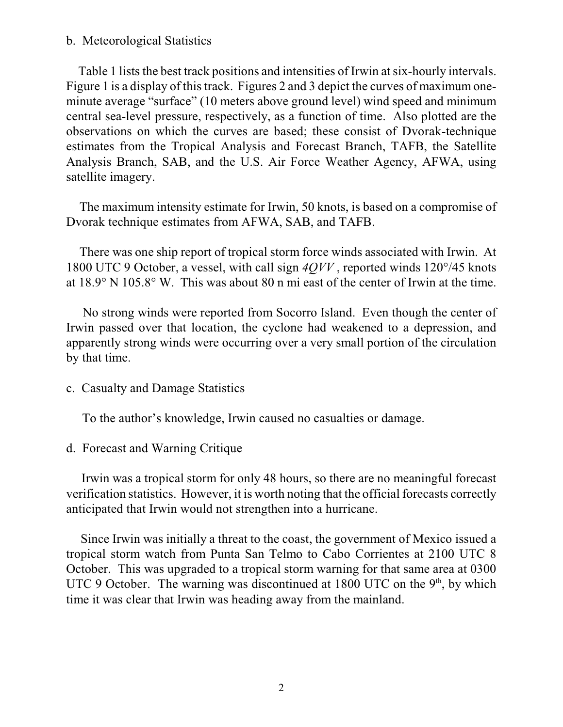## b. Meteorological Statistics

Table 1 lists the best track positions and intensities of Irwin at six-hourly intervals. Figure 1 is a display of this track. Figures 2 and 3 depict the curves of maximum oneminute average "surface" (10 meters above ground level) wind speed and minimum central sea-level pressure, respectively, as a function of time. Also plotted are the observations on which the curves are based; these consist of Dvorak-technique estimates from the Tropical Analysis and Forecast Branch, TAFB, the Satellite Analysis Branch, SAB, and the U.S. Air Force Weather Agency, AFWA, using satellite imagery.

 The maximum intensity estimate for Irwin, 50 knots, is based on a compromise of Dvorak technique estimates from AFWA, SAB, and TAFB.

 There was one ship report of tropical storm force winds associated with Irwin. At 1800 UTC 9 October, a vessel, with call sign *4QVV* , reported winds 120°/45 knots at 18.9° N 105.8° W. This was about 80 n mi east of the center of Irwin at the time.

 No strong winds were reported from Socorro Island. Even though the center of Irwin passed over that location, the cyclone had weakened to a depression, and apparently strong winds were occurring over a very small portion of the circulation by that time.

c. Casualty and Damage Statistics

To the author's knowledge, Irwin caused no casualties or damage.

d. Forecast and Warning Critique

 Irwin was a tropical storm for only 48 hours, so there are no meaningful forecast verification statistics. However, it is worth noting that the official forecasts correctly anticipated that Irwin would not strengthen into a hurricane.

 Since Irwin was initially a threat to the coast, the government of Mexico issued a tropical storm watch from Punta San Telmo to Cabo Corrientes at 2100 UTC 8 October. This was upgraded to a tropical storm warning for that same area at 0300 UTC 9 October. The warning was discontinued at 1800 UTC on the  $9<sup>th</sup>$ , by which time it was clear that Irwin was heading away from the mainland.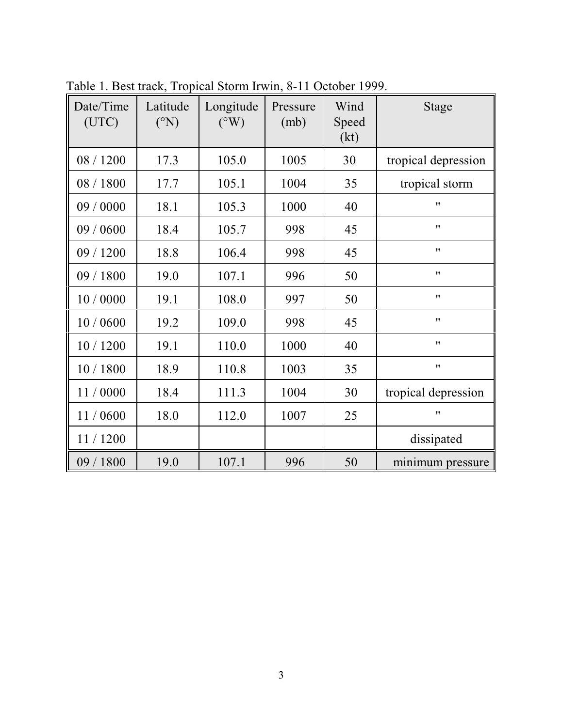| Date/Time<br>(UTC) | Latitude<br>$({}^{\circ}N)$ | Longitude<br>$({}^{\circ}\mathrm{W})$ | Pressure<br>(mb) | Wind<br>Speed<br>(kt) | <b>Stage</b>        |
|--------------------|-----------------------------|---------------------------------------|------------------|-----------------------|---------------------|
| 08 / 1200          | 17.3                        | 105.0                                 | 1005             | 30                    | tropical depression |
| 08 / 1800          | 17.7                        | 105.1                                 | 1004             | 35                    | tropical storm      |
| 09 / 0000          | 18.1                        | 105.3                                 | 1000             | 40                    | $^{\prime\prime}$   |
| 09 / 0600          | 18.4                        | 105.7                                 | 998              | 45                    | 11                  |
| 09 / 1200          | 18.8                        | 106.4                                 | 998              | 45                    | 11                  |
| 09 / 1800          | 19.0                        | 107.1                                 | 996              | 50                    | 11                  |
| 10 / 0000          | 19.1                        | 108.0                                 | 997              | 50                    | $^{\prime\prime}$   |
| 10/0600            | 19.2                        | 109.0                                 | 998              | 45                    | 11                  |
| 10/1200            | 19.1                        | 110.0                                 | 1000             | 40                    | 11                  |
| 10 / 1800          | 18.9                        | 110.8                                 | 1003             | 35                    | 11                  |
| 11/0000            | 18.4                        | 111.3                                 | 1004             | 30                    | tropical depression |
| 11/0600            | 18.0                        | 112.0                                 | 1007             | 25                    | 11                  |
| 11/1200            |                             |                                       |                  |                       | dissipated          |
| 09 / 1800          | 19.0                        | 107.1                                 | 996              | 50                    | minimum pressure    |

Table 1. Best track, Tropical Storm Irwin, 8-11 October 1999.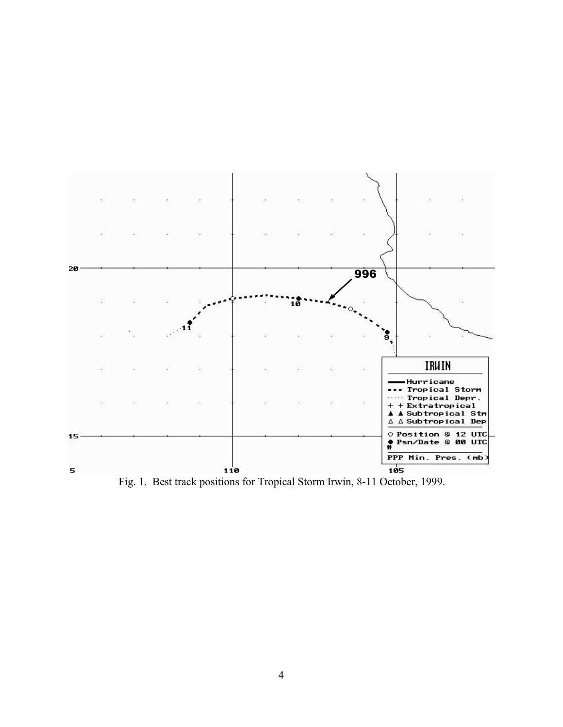